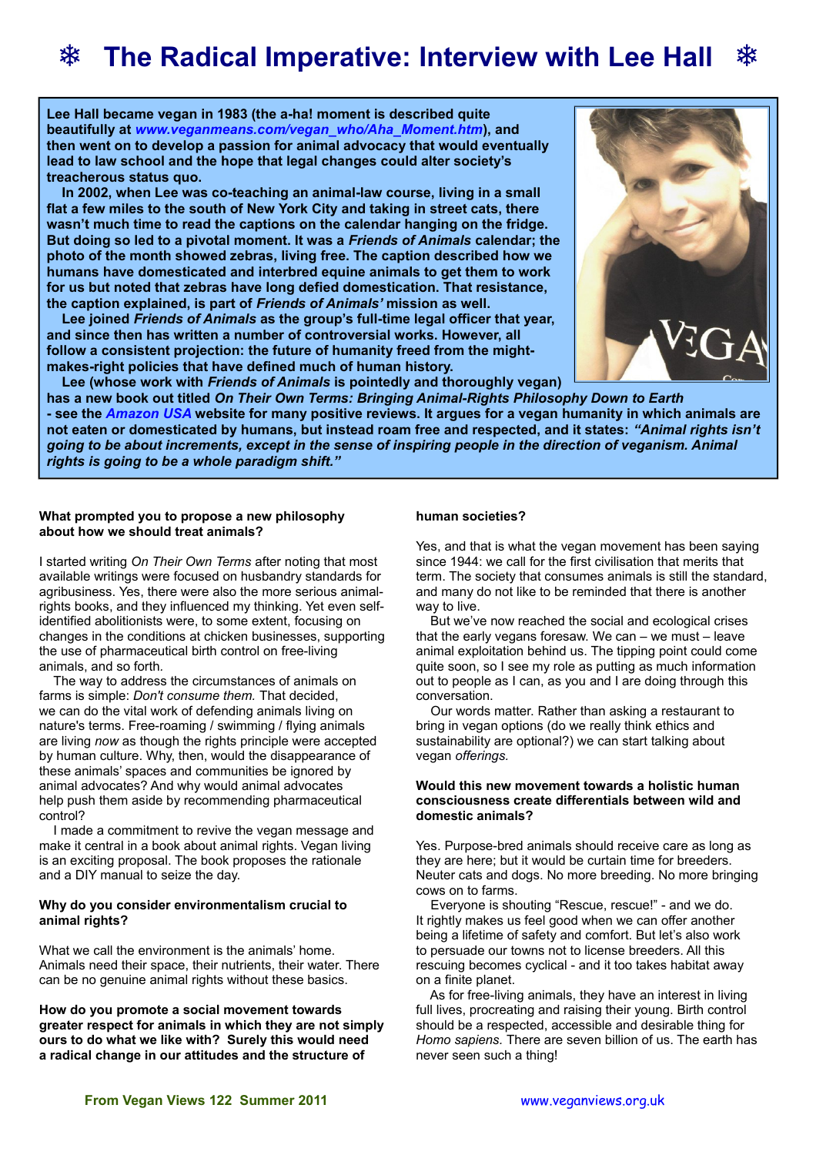# **❄ The Radical Imperative: Interview with Lee Hall ❄**

**Lee Hall became vegan in 1983 (the a-ha! moment is described quite beautifully at** *[www.veganmeans.com/vegan\\_who/Aha\\_Moment.htm](http://www.veganmeans.com/vegan_who/Aha_Moment.htm)***), and then went on to develop a passion for animal advocacy that would eventually lead to law school and the hope that legal changes could alter society's treacherous status quo.**

 **In 2002, when Lee was co-teaching an animal-law course, living in a small flat a few miles to the south of New York City and taking in street cats, there wasn't much time to read the captions on the calendar hanging on the fridge. But doing so led to a pivotal moment. It was a** *Friends of Animals* **calendar; the photo of the month showed zebras, living free. The caption described how we humans have domesticated and interbred equine animals to get them to work for us but noted that zebras have long defied domestication. That resistance, the caption explained, is part of** *Friends of Animals'* **mission as well.**

 **Lee joined** *Friends of Animals* **as the group's full-time legal officer that year, and since then has written a number of controversial works. However, all follow a consistent projection: the future of humanity freed from the mightmakes-right policies that have defined much of human history.**



 **Lee (whose work with** *Friends of Animals* **is pointedly and thoroughly vegan)**

**has a new book out titled** *On Their Own Terms: Bringing Animal-Rights Philosophy Down to Earth*  **- see the** *[Amazon USA](http://www.amazon.com/Their-Own-Terms-Lee-Hall/dp/0976915936/ref=sr_1_1?ie=UTF8&qid=1310216942&sr=8-1)* **website for many positive reviews. It argues for a vegan humanity in which animals are not eaten or domesticated by humans, but instead roam free and respected, and it states:** *"Animal rights isn't going to be about increments, except in the sense of inspiring people in the direction of veganism. Animal rights is going to be a whole paradigm shift."* 

## **What prompted you to propose a new philosophy about how we should treat animals?**

I started writing *On Their Own Terms* after noting that most available writings were focused on husbandry standards for agribusiness. Yes, there were also the more serious animalrights books, and they influenced my thinking. Yet even selfidentified abolitionists were, to some extent, focusing on changes in the conditions at chicken businesses, supporting the use of pharmaceutical birth control on free-living animals, and so forth*.*

The way to address the circumstances of animals on farms is simple: *Don't consume them.* That decided, we can do the vital work of defending animals living on nature's terms. Free-roaming / swimming / flying animals are living *now* as though the rights principle were accepted by human culture. Why, then, would the disappearance of these animals' spaces and communities be ignored by animal advocates? And why would animal advocates help push them aside by recommending pharmaceutical control?

I made a commitment to revive the vegan message and make it central in a book about animal rights. Vegan living is an exciting proposal. The book proposes the rationale and a DIY manual to seize the day.

## **Why do you consider environmentalism crucial to animal rights?**

What we call the environment is the animals' home. Animals need their space, their nutrients, their water. There can be no genuine animal rights without these basics.

**How do you promote a social movement towards greater respect for animals in which they are not simply ours to do what we like with? Surely this would need a radical change in our attitudes and the structure of** 

## **human societies?**

Yes, and that is what the vegan movement has been saying since 1944: we call for the first civilisation that merits that term. The society that consumes animals is still the standard, and many do not like to be reminded that there is another way to live.

 But we've now reached the social and ecological crises that the early vegans foresaw. We can – we must – leave animal exploitation behind us. The tipping point could come quite soon, so I see my role as putting as much information out to people as I can, as you and I are doing through this conversation.

Our words matter. Rather than asking a restaurant to bring in vegan options (do we really think ethics and sustainability are optional?) we can start talking about vegan *offerings.*

## **Would this new movement towards a holistic human consciousness create differentials between wild and domestic animals?**

Yes. Purpose-bred animals should receive care as long as they are here; but it would be curtain time for breeders. Neuter cats and dogs. No more breeding. No more bringing cows on to farms.

Everyone is shouting "Rescue, rescue!" - and we do. It rightly makes us feel good when we can offer another being a lifetime of safety and comfort. But let's also work to persuade our towns not to license breeders. All this rescuing becomes cyclical - and it too takes habitat away on a finite planet.

As for free-living animals, they have an interest in living full lives, procreating and raising their young. Birth control should be a respected, accessible and desirable thing for *Homo sapiens.* There are seven billion of us. The earth has never seen such a thing!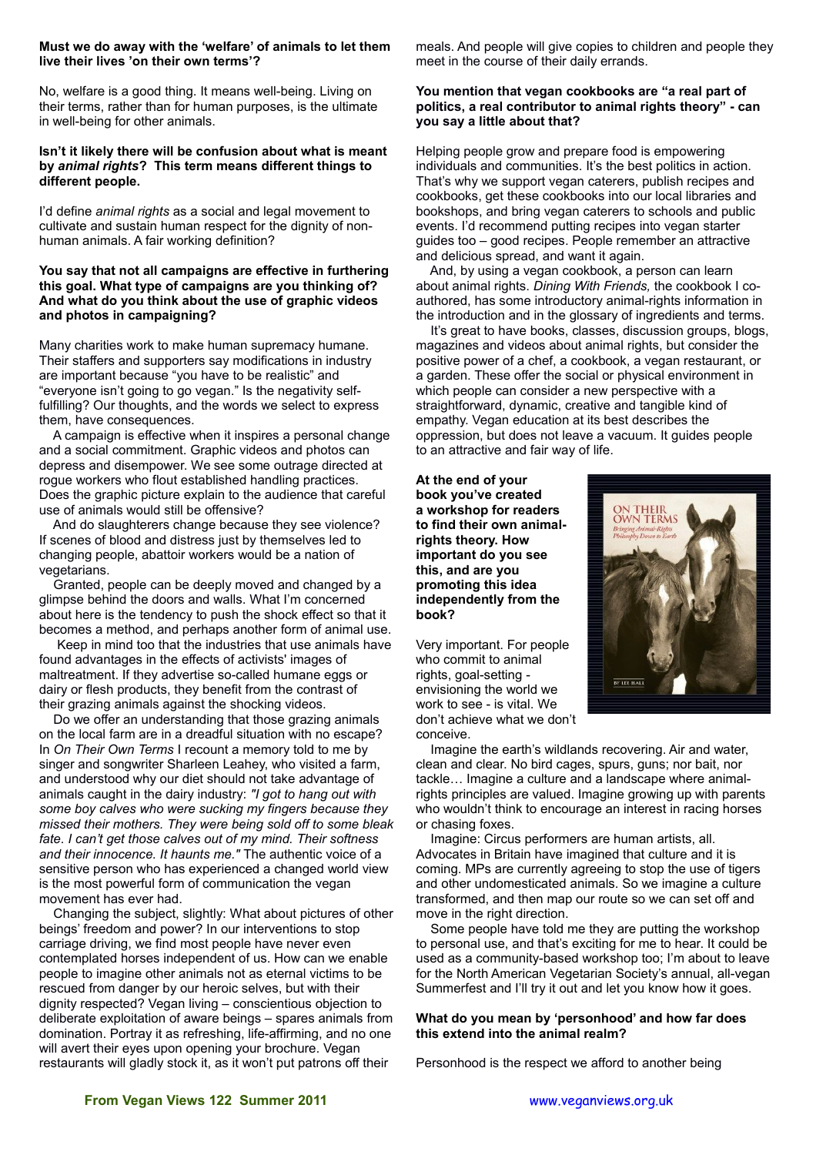#### **Must we do away with the 'welfare' of animals to let them live their lives 'on their own terms'?**

No, welfare is a good thing. It means well-being. Living on their terms, rather than for human purposes, is the ultimate in well-being for other animals.

#### **Isn't it likely there will be confusion about what is meant by** *animal rights***? This term means different things to different people.**

I'd define *animal rights* as a social and legal movement to cultivate and sustain human respect for the dignity of nonhuman animals. A fair working definition?

## **You say that not all campaigns are effective in furthering this goal. What type of campaigns are you thinking of? And what do you think about the use of graphic videos and photos in campaigning?**

Many charities work to make human supremacy humane. Their staffers and supporters say modifications in industry are important because "you have to be realistic" and "everyone isn't going to go vegan." Is the negativity selffulfilling? Our thoughts, and the words we select to express them, have consequences.

A campaign is effective when it inspires a personal change and a social commitment. Graphic videos and photos can depress and disempower. We see some outrage directed at rogue workers who flout established handling practices. Does the graphic picture explain to the audience that careful use of animals would still be offensive?

And do slaughterers change because they see violence? If scenes of blood and distress just by themselves led to changing people, abattoir workers would be a nation of vegetarians.

Granted, people can be deeply moved and changed by a glimpse behind the doors and walls. What I'm concerned about here is the tendency to push the shock effect so that it becomes a method, and perhaps another form of animal use.

Keep in mind too that the industries that use animals have found advantages in the effects of activists' images of maltreatment. If they advertise so-called humane eggs or dairy or flesh products, they benefit from the contrast of their grazing animals against the shocking videos.

Do we offer an understanding that those grazing animals on the local farm are in a dreadful situation with no escape? In *On Their Own Terms* I recount a memory told to me by singer and songwriter Sharleen Leahey, who visited a farm, and understood why our diet should not take advantage of animals caught in the dairy industry: *"I got to hang out with some boy calves who were sucking my fingers because they missed their mothers. They were being sold off to some bleak fate. I can't get those calves out of my mind. Their softness and their innocence. It haunts me."* The authentic voice of a sensitive person who has experienced a changed world view is the most powerful form of communication the vegan movement has ever had.

Changing the subject, slightly: What about pictures of other beings' freedom and power? In our interventions to stop carriage driving, we find most people have never even contemplated horses independent of us. How can we enable people to imagine other animals not as eternal victims to be rescued from danger by our heroic selves, but with their dignity respected? Vegan living – conscientious objection to deliberate exploitation of aware beings – spares animals from domination. Portray it as refreshing, life-affirming, and no one will avert their eyes upon opening your brochure. Vegan restaurants will gladly stock it, as it won't put patrons off their

meals. And people will give copies to children and people they meet in the course of their daily errands.

## **You mention that vegan cookbooks are "a real part of politics, a real contributor to animal rights theory" - can you say a little about that?**

Helping people grow and prepare food is empowering individuals and communities. It's the best politics in action. That's why we support vegan caterers, publish recipes and cookbooks, get these cookbooks into our local libraries and bookshops, and bring vegan caterers to schools and public events. I'd recommend putting recipes into vegan starter guides too – good recipes. People remember an attractive and delicious spread, and want it again.

And, by using a vegan cookbook, a person can learn about animal rights. *Dining With Friends,* the cookbook I coauthored, has some introductory animal-rights information in the introduction and in the glossary of ingredients and terms.

It's great to have books, classes, discussion groups, blogs, magazines and videos about animal rights, but consider the positive power of a chef, a cookbook, a vegan restaurant, or a garden. These offer the social or physical environment in which people can consider a new perspective with a straightforward, dynamic, creative and tangible kind of empathy. Vegan education at its best describes the oppression, but does not leave a vacuum. It guides people to an attractive and fair way of life.

**At the end of your book you've created a workshop for readers to find their own animalrights theory. How important do you see this, and are you promoting this idea independently from the book?**

Very important. For people who commit to animal rights, goal-setting envisioning the world we work to see - is vital. We don't achieve what we don't conceive.



Imagine the earth's wildlands recovering. Air and water, clean and clear. No bird cages, spurs, guns; nor bait, nor tackle… Imagine a culture and a landscape where animalrights principles are valued. Imagine growing up with parents who wouldn't think to encourage an interest in racing horses or chasing foxes.

Imagine: Circus performers are human artists, all. Advocates in Britain have imagined that culture and it is coming. MPs are currently agreeing to stop the use of tigers and other undomesticated animals. So we imagine a culture transformed, and then map our route so we can set off and move in the right direction.

Some people have told me they are putting the workshop to personal use, and that's exciting for me to hear. It could be used as a community-based workshop too; I'm about to leave for the North American Vegetarian Society's annual, all-vegan Summerfest and I'll try it out and let you know how it goes.

## **What do you mean by 'personhood' and how far does this extend into the animal realm?**

Personhood is the respect we afford to another being